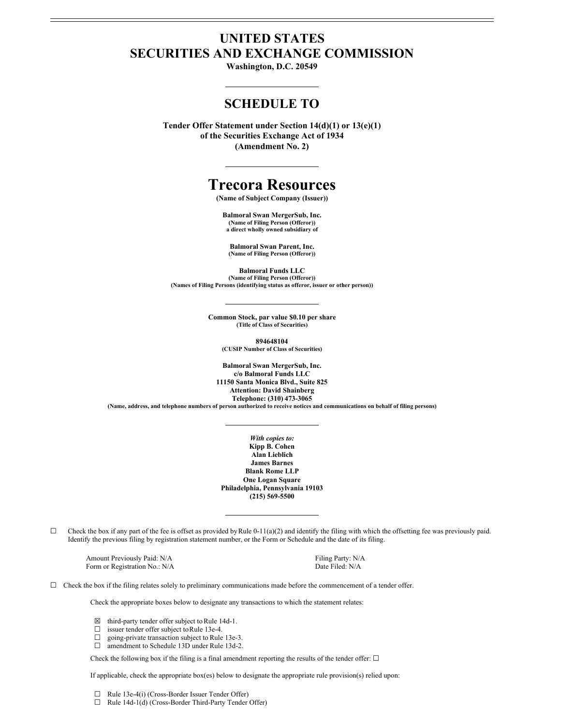# **UNITED STATES SECURITIES AND EXCHANGE COMMISSION**

**Washington, D.C. 20549**

## **SCHEDULE TO**

**Tender Offer Statement under Section 14(d)(1) or 13(e)(1) of the Securities Exchange Act of 1934 (Amendment No. 2)**

# **Trecora Resources**

**(Name of Subject Company (Issuer))**

**Balmoral Swan MergerSub, Inc. (Name of Filing Person (Offeror)) a direct wholly owned subsidiary of**

**Balmoral Swan Parent, Inc. (Name of Filing Person (Offeror))**

**Balmoral Funds LLC (Name of Filing Person (Offeror)) (Names of Filing Persons (identifying status as offeror, issuer or other person))**

> **Common Stock, par value \$0.10 per share (Title of Class of Securities)**

> > **894648104**

**(CUSIP Number of Class of Securities)**

**Balmoral Swan MergerSub, Inc. c/o Balmoral Funds LLC 11150 Santa Monica Blvd., Suite 825 Attention: David Shainberg Telephone: (310) 473-3065** (Name, address, and telephone numbers of person authorized to receive notices and communications on behalf of filing persons)

> *With copies to:* **Kipp B. Cohen Alan Lieblich James Barnes Blank Rome LLP One Logan Square Philadelphia, Pennsylvania 19103 (215) 569-5500**

 $\Box$  Check the box if any part of the fee is offset as provided by Rule 0-11(a)(2) and identify the filing with which the offsetting fee was previously paid. Identify the previous filing by registration statement number, or the Form or Schedule and the date of its filing.

Amount Previously Paid: N/A Filing Party: N/A Form or Registration No.: N/A Date Filed: N/A

☐ Check the box if the filing relates solely to preliminary communications made before the commencement of a tender offer.

Check the appropriate boxes below to designate any transactions to which the statement relates:

- ☒ third-party tender offer subject toRule 14d-1.
- ☐ issuer tender offer subject toRule 13e-4.
- ☐ going-private transaction subject to Rule 13e-3.
- ☐ amendment to Schedule 13D under Rule 13d-2.

Check the following box if the filing is a final amendment reporting the results of the tender offer:  $\Box$ 

If applicable, check the appropriate box(es) below to designate the appropriate rule provision(s) relied upon:

- ☐ Rule 13e-4(i) (Cross-Border Issuer Tender Offer)
- ☐ Rule 14d-1(d) (Cross-Border Third-Party Tender Offer)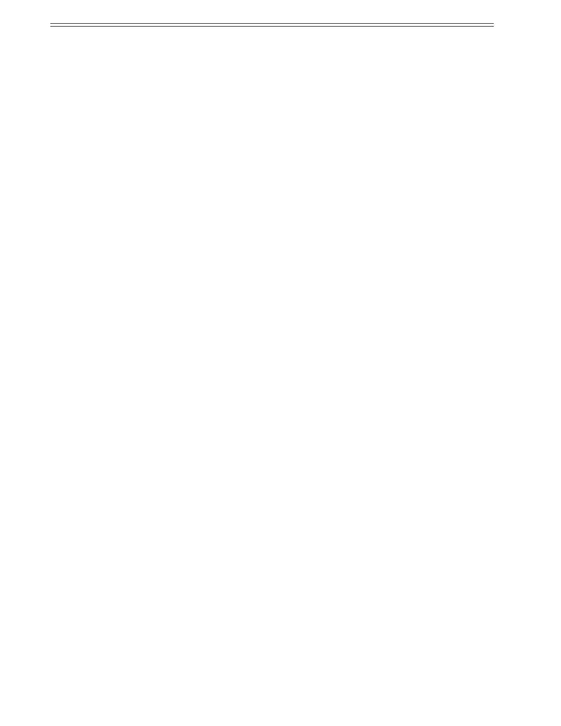$\sim$   $\sim$   $\sim$   $\sim$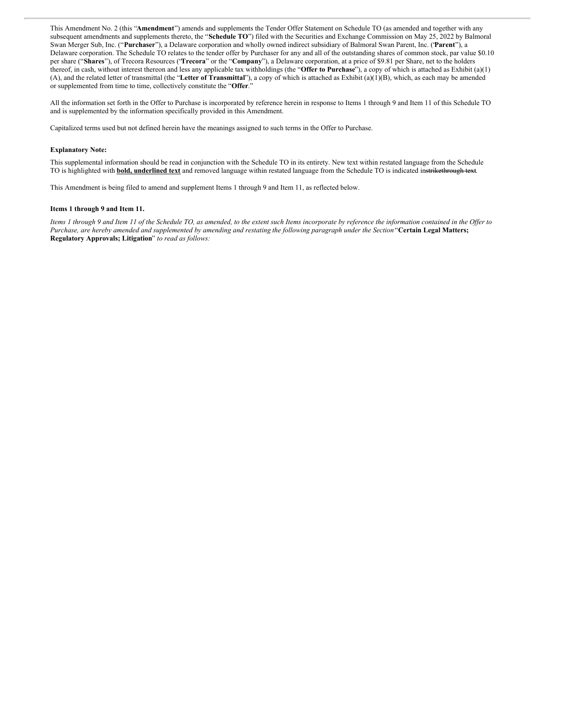This Amendment No. 2 (this "**Amendment**") amends and supplements the Tender Offer Statement on Schedule TO (as amended and together with any subsequent amendments and supplements thereto, the "**Schedule TO**") filed with the Securities and Exchange Commission on May 25, 2022 by Balmoral Swan Merger Sub, Inc. ("**Purchaser**"), a Delaware corporation and wholly owned indirect subsidiary of Balmoral Swan Parent, Inc. ("**Parent**"), a Delaware corporation. The Schedule TO relates to the tender offer by Purchaser for any and all of the outstanding shares of common stock, par value \$0.10 per share ("**Shares**"), of Trecora Resources ("**Trecora**" or the "**Company**"), a Delaware corporation, at a price of \$9.81 per Share, net to the holders thereof, in cash, without interest thereon and less any applicable tax withholdings (the "**Offer to Purchase**"), a copy of which is attached as Exhibit (a)(1) (A), and the related letter of transmittal (the "**Letter of Transmittal**"), a copy of which is attached as Exhibit (a)(1)(B), which, as each may be amended or supplemented from time to time, collectively constitute the "**Offer**."

All the information set forth in the Offer to Purchase is incorporated by reference herein in response to Items 1 through 9 and Item 11 of this Schedule TO and is supplemented by the information specifically provided in this Amendment.

Capitalized terms used but not defined herein have the meanings assigned to such terms in the Offer to Purchase.

## **Explanatory Note:**

This supplemental information should be read in conjunction with the Schedule TO in its entirety. New text within restated language from the Schedule TO is highlighted with **bold, underlined text** and removed language within restated language from the Schedule TO is indicated instrikethrough text.

This Amendment is being filed to amend and supplement Items 1 through 9 and Item 11, as reflected below.

#### **Items 1 through 9 and Item 11.**

Items 1 through 9 and Item 11 of the Schedule TO, as amended, to the extent such Items incorporate by reference the information contained in the Offer to Purchase, are hereby amended and supplemented by amending and restating the following paragraph under the Section "Certain Legal Matters; **Regulatory Approvals; Litigation**" *to read as follows:*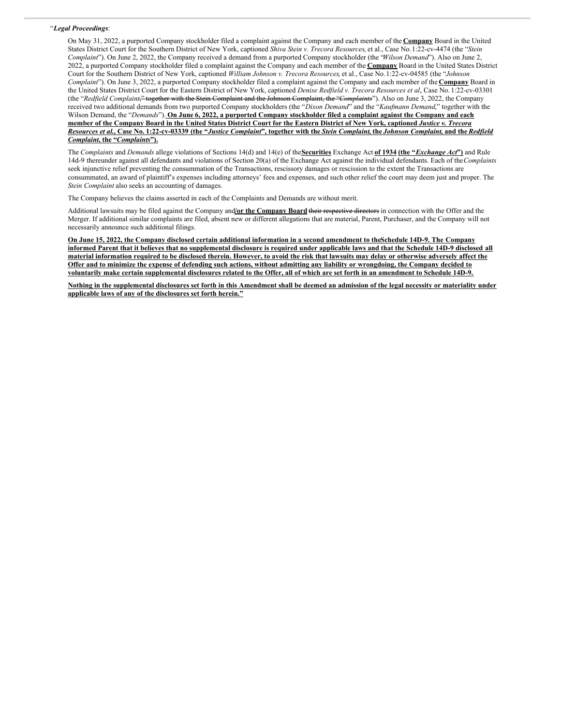#### "*Legal Proceedings*:

On May 31, 2022, a purported Company stockholder filed a complaint against the Company and each member of the **Company** Board in the United States District Court for the Southern District of New York, captioned *Shiva Stein v. Trecora Resources*, et al., Case No.1:22-cv-4474 (the "*Stein Complaint*"). On June 2, 2022, the Company received a demand from a purported Company stockholder (the "*Wilson Demand*"). Also on June 2, 2022, a purported Company stockholder filed a complaint against the Company and each member of the **Company** Board in the United States District Court for the Southern District of New York, captioned *William Johnson v. Trecora Resources*, et al., Case No.1:22-cv-04585 (the "*Johnson Complaint*"). On June 3, 2022, a purported Company stockholder filed a complaint against the Company and each member of the **Company** Board in the United States District Court for the Eastern District of New York, captioned *Denise Redfield v. Trecora Resources et al.*, Case No. 1:22-cv-03301 (the "*Redfield Complaint*," together with the Stein Complaint and the Johnson Complaint, the "*Complaints*"). Also on June 3, 2022, the Company received two additional demands from two purported Company stockholders (the "*Dixon Demand*" and the "*Kaufmann Demand*," together with the Wilson Demand, the "Demands"). On June 6, 2022, a purported Company stockholder filed a complaint against the Company and each member of the Company Board in the United States District Court for the Eastern District of New York, captioned Justice v. Trecora Resources et al., Case No. 1:22-cv-03339 (the "Justice Complaint", together with the Stein Complaint, the Johnson Complaint, and the Redfield *Complaint***, the "***Complaints***").**

The *Complaints* and *Demands* allege violations of Sections 14(d) and 14(e) of the**Securities** Exchange Act **of 1934 (the "***Exchange Act***")** and Rule 14d-9 thereunder against all defendants and violations of Section 20(a) of the Exchange Act against the individual defendants. Each of the*Complaints* seek injunctive relief preventing the consummation of the Transactions, rescissory damages or rescission to the extent the Transactions are consummated, an award of plaintiff's expenses including attorneys' fees and expenses, and such other relief the court may deem just and proper. The *Stein Complaint* also seeks an accounting of damages.

The Company believes the claims asserted in each of the Complaints and Demands are without merit.

Additional lawsuits may be filed against the Company and**/or the Company Board** their respective directors in connection with the Offer and the Merger. If additional similar complaints are filed, absent new or different allegations that are material, Parent, Purchaser, and the Company will not necessarily announce such additional filings.

On June 15, 2022, the Company disclosed certain additional information in a second amendment to the Schedule 14D-9. The Company informed Parent that it believes that no supplemental disclosure is required under applicable laws and that the Schedule 14D-9 disclosed all material information required to be disclosed therein. However, to avoid the risk that lawsuits may delay or otherwise adversely affect the Offer and to minimize the expense of defending such actions, without admitting any liability or wrongdoing, the Company decided to voluntarily make certain supplemental disclosures related to the Offer, all of which are set forth in an amendment to Schedule 14D-9.

Nothing in the supplemental disclosures set forth in this Amendment shall be deemed an admission of the legal necessity or materiality under **applicable laws of any of the disclosures set forth herein."**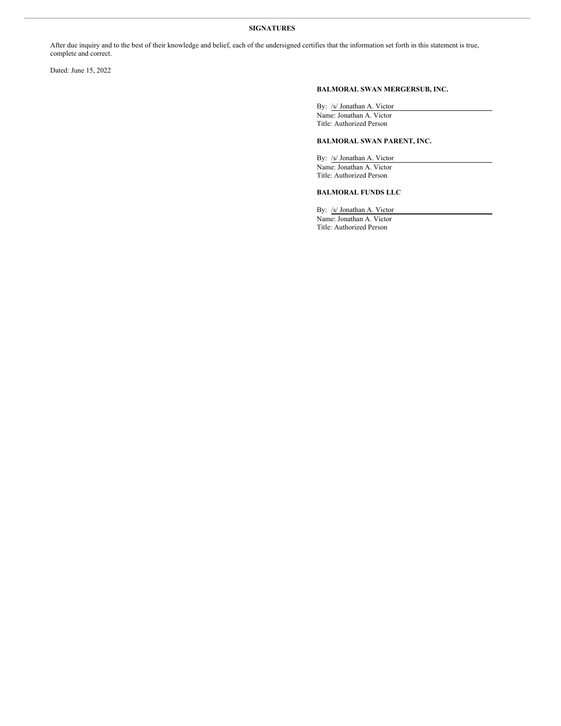## **SIGNATURES**

After due inquiry and to the best of their knowledge and belief, each of the undersigned certifies that the information set forth in this statement is true, complete and correct.

Dated: June 15, 2022

### **BALMORAL SWAN MERGERSUB, INC.**

By: /s/ Jonathan A. Victor Name: Jonathan A. Victor Title: Authorized Person

## **BALMORAL SWAN PARENT, INC.**

By: /s/ Jonathan A. Victor Name: Jonathan A. Victor Title: Authorized Person

### **BALMORAL FUNDS LLC**

By: /s/ Jonathan A. Victor Name: Jonathan A. Victor Title: Authorized Person